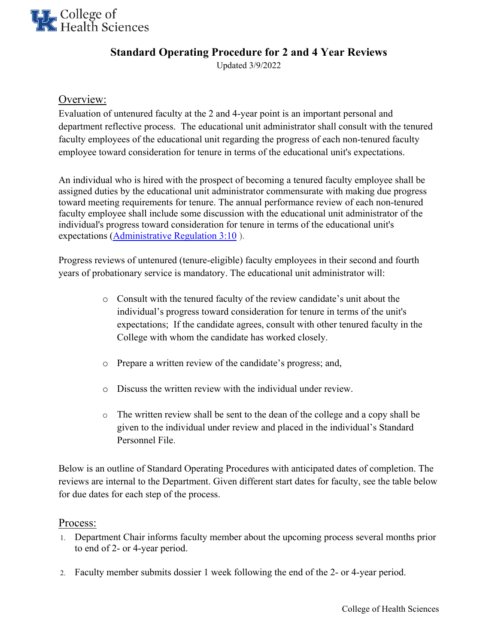

## **Standard Operating Procedure for 2 and 4 Year Reviews**

Updated 3/9/2022

## Overview:

Evaluation of untenured faculty at the 2 and 4-year point is an important personal and department reflective process. The educational unit administrator shall consult with the tenured faculty employees of the educational unit regarding the progress of each non-tenured faculty employee toward consideration for tenure in terms of the educational unit's expectations.

An individual who is hired with the prospect of becoming a tenured faculty employee shall be assigned duties by the educational unit administrator commensurate with making due progress toward meeting requirements for tenure. The annual performance review of each non-tenured faculty employee shall include some discussion with the educational unit administrator of the individual's progress toward consideration for tenure in terms of the educational unit's expectations [\(Administrative Regulation 3:10](http://www.uky.edu/regs/sites/www.uky.edu.regs/files/files/ar/ar3-10.pdf) ).

Progress reviews of untenured (tenure-eligible) faculty employees in their second and fourth years of probationary service is mandatory. The educational unit administrator will:

- o Consult with the tenured faculty of the review candidate's unit about the individual's progress toward consideration for tenure in terms of the unit's expectations; If the candidate agrees, consult with other tenured faculty in the College with whom the candidate has worked closely.
- o Prepare a written review of the candidate's progress; and,
- o Discuss the written review with the individual under review.
- o The written review shall be sent to the dean of the college and a copy shall be given to the individual under review and placed in the individual's Standard Personnel File.

Below is an outline of Standard Operating Procedures with anticipated dates of completion. The reviews are internal to the Department. Given different start dates for faculty, see the table below for due dates for each step of the process.

## Process:

- 1. Department Chair informs faculty member about the upcoming process several months prior to end of 2- or 4-year period.
- 2. Faculty member submits dossier 1 week following the end of the 2- or 4-year period.